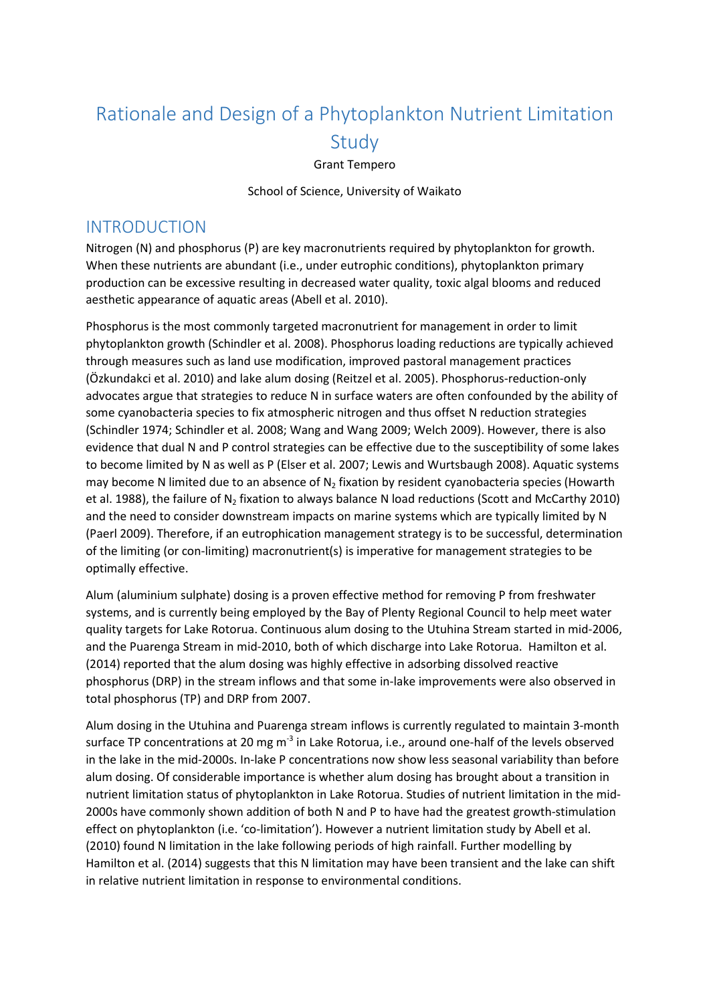# Rationale and Design of a Phytoplankton Nutrient Limitation Study

Grant Tempero

School of Science, University of Waikato

### INTRODUCTION

Nitrogen (N) and phosphorus (P) are key macronutrients required by phytoplankton for growth. When these nutrients are abundant (i.e., under eutrophic conditions), phytoplankton primary production can be excessive resulting in decreased water quality, toxic algal blooms and reduced aesthetic appearance of aquatic areas (Abell et al. 2010).

Phosphorus is the most commonly targeted macronutrient for management in order to limit phytoplankton growth (Schindler et al. 2008). Phosphorus loading reductions are typically achieved through measures such as land use modification, improved pastoral management practices (Özkundakci et al. 2010) and lake alum dosing (Reitzel et al. 2005). Phosphorus-reduction-only advocates argue that strategies to reduce N in surface waters are often confounded by the ability of some cyanobacteria species to fix atmospheric nitrogen and thus offset N reduction strategies (Schindler 1974; Schindler et al. 2008; Wang and Wang 2009; Welch 2009). However, there is also evidence that dual N and P control strategies can be effective due to the susceptibility of some lakes to become limited by N as well as P (Elser et al. 2007; Lewis and Wurtsbaugh 2008). Aquatic systems may become N limited due to an absence of  $N<sub>2</sub>$  fixation by resident cyanobacteria species (Howarth et al. 1988), the failure of N<sub>2</sub> fixation to always balance N load reductions (Scott and McCarthy 2010) and the need to consider downstream impacts on marine systems which are typically limited by N (Paerl 2009). Therefore, if an eutrophication management strategy is to be successful, determination of the limiting (or con-limiting) macronutrient(s) is imperative for management strategies to be optimally effective.

Alum (aluminium sulphate) dosing is a proven effective method for removing P from freshwater systems, and is currently being employed by the Bay of Plenty Regional Council to help meet water quality targets for Lake Rotorua. Continuous alum dosing to the Utuhina Stream started in mid-2006, and the Puarenga Stream in mid-2010, both of which discharge into Lake Rotorua. Hamilton et al. (2014) reported that the alum dosing was highly effective in adsorbing dissolved reactive phosphorus (DRP) in the stream inflows and that some in-lake improvements were also observed in total phosphorus (TP) and DRP from 2007.

Alum dosing in the Utuhina and Puarenga stream inflows is currently regulated to maintain 3-month surface TP concentrations at 20 mg m<sup>-3</sup> in Lake Rotorua, i.e., around one-half of the levels observed in the lake in the mid-2000s. In-lake P concentrations now show less seasonal variability than before alum dosing. Of considerable importance is whether alum dosing has brought about a transition in nutrient limitation status of phytoplankton in Lake Rotorua. Studies of nutrient limitation in the mid-2000s have commonly shown addition of both N and P to have had the greatest growth-stimulation effect on phytoplankton (i.e. 'co-limitation'). However a nutrient limitation study by Abell et al. (2010) found N limitation in the lake following periods of high rainfall. Further modelling by Hamilton et al. (2014) suggests that this N limitation may have been transient and the lake can shift in relative nutrient limitation in response to environmental conditions.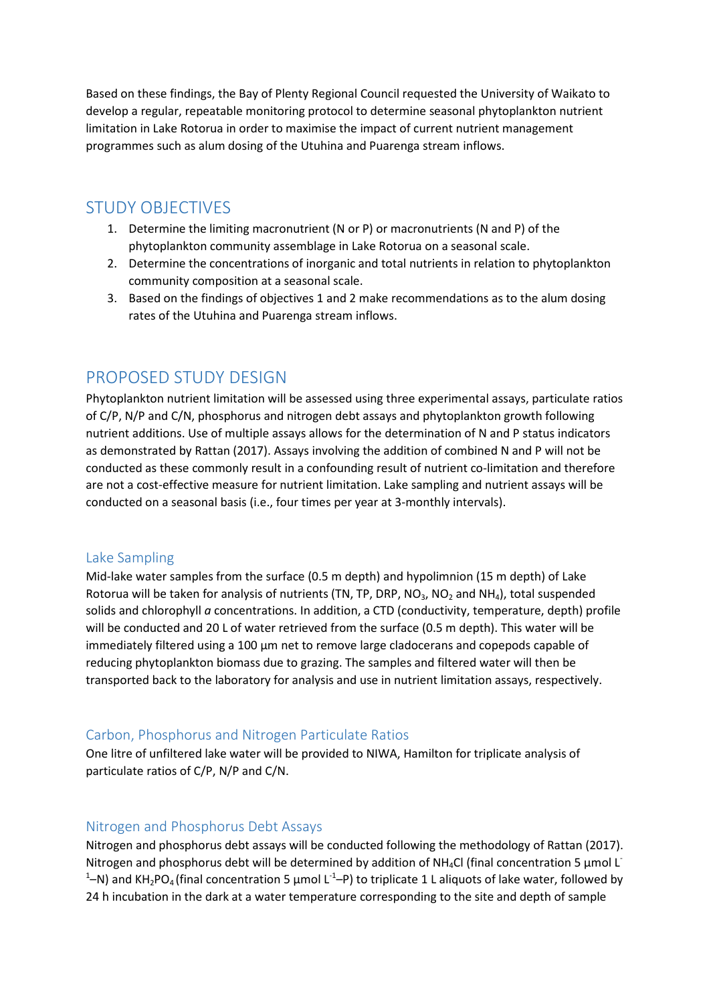Based on these findings, the Bay of Plenty Regional Council requested the University of Waikato to develop a regular, repeatable monitoring protocol to determine seasonal phytoplankton nutrient limitation in Lake Rotorua in order to maximise the impact of current nutrient management programmes such as alum dosing of the Utuhina and Puarenga stream inflows.

## STUDY OBJECTIVES

- 1. Determine the limiting macronutrient (N or P) or macronutrients (N and P) of the phytoplankton community assemblage in Lake Rotorua on a seasonal scale.
- 2. Determine the concentrations of inorganic and total nutrients in relation to phytoplankton community composition at a seasonal scale.
- 3. Based on the findings of objectives 1 and 2 make recommendations as to the alum dosing rates of the Utuhina and Puarenga stream inflows.

## PROPOSED STUDY DESIGN

Phytoplankton nutrient limitation will be assessed using three experimental assays, particulate ratios of C/P, N/P and C/N, phosphorus and nitrogen debt assays and phytoplankton growth following nutrient additions. Use of multiple assays allows for the determination of N and P status indicators as demonstrated by Rattan (2017). Assays involving the addition of combined N and P will not be conducted as these commonly result in a confounding result of nutrient co-limitation and therefore are not a cost-effective measure for nutrient limitation. Lake sampling and nutrient assays will be conducted on a seasonal basis (i.e., four times per year at 3-monthly intervals).

#### Lake Sampling

Mid-lake water samples from the surface (0.5 m depth) and hypolimnion (15 m depth) of Lake Rotorua will be taken for analysis of nutrients (TN, TP, DRP, NO<sub>3</sub>, NO<sub>2</sub> and NH<sub>4</sub>), total suspended solids and chlorophyll *a* concentrations. In addition, a CTD (conductivity, temperature, depth) profile will be conducted and 20 L of water retrieved from the surface (0.5 m depth). This water will be immediately filtered using a 100 µm net to remove large cladocerans and copepods capable of reducing phytoplankton biomass due to grazing. The samples and filtered water will then be transported back to the laboratory for analysis and use in nutrient limitation assays, respectively.

#### Carbon, Phosphorus and Nitrogen Particulate Ratios

One litre of unfiltered lake water will be provided to NIWA, Hamilton for triplicate analysis of particulate ratios of C/P, N/P and C/N.

#### Nitrogen and Phosphorus Debt Assays

Nitrogen and phosphorus debt assays will be conducted following the methodology of Rattan (2017). Nitrogen and phosphorus debt will be determined by addition of NH<sub>4</sub>Cl (final concentration 5 µmol L<sup>-</sup> <sup>1</sup>–N) and KH<sub>2</sub>PO<sub>4</sub> (final concentration 5 µmol L<sup>-1</sup>–P) to triplicate 1 L aliquots of lake water, followed by 24 h incubation in the dark at a water temperature corresponding to the site and depth of sample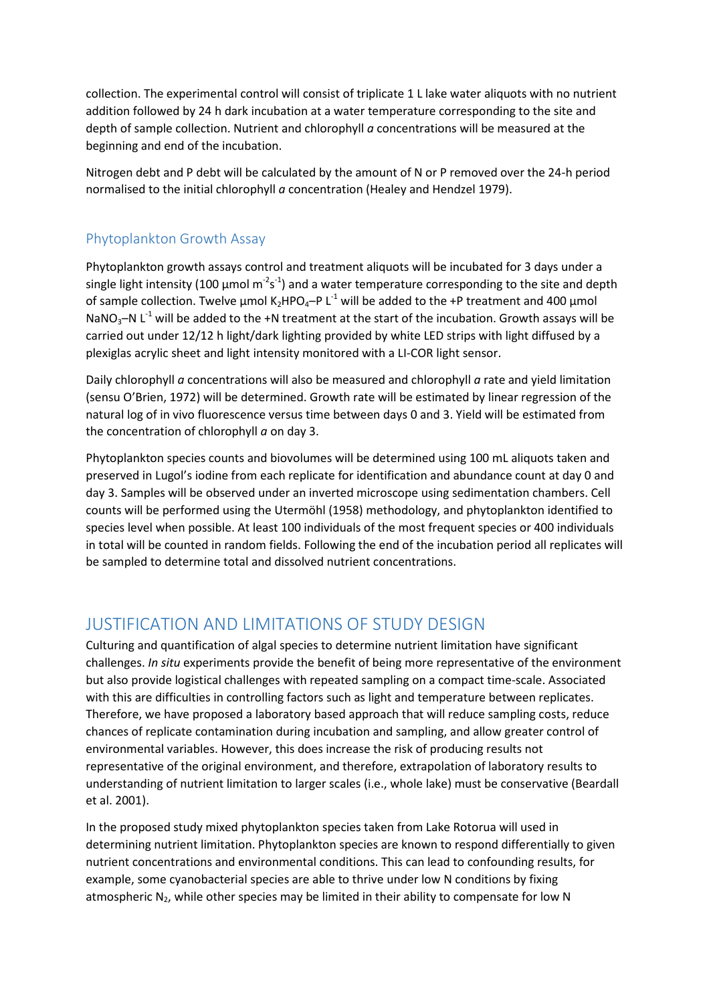collection. The experimental control will consist of triplicate 1 L lake water aliquots with no nutrient addition followed by 24 h dark incubation at a water temperature corresponding to the site and depth of sample collection. Nutrient and chlorophyll *a* concentrations will be measured at the beginning and end of the incubation.

Nitrogen debt and P debt will be calculated by the amount of N or P removed over the 24-h period normalised to the initial chlorophyll *a* concentration (Healey and Hendzel 1979).

#### Phytoplankton Growth Assay

Phytoplankton growth assays control and treatment aliquots will be incubated for 3 days under a single light intensity (100  $\mu$ mol m<sup>-2</sup>s<sup>-1</sup>) and a water temperature corresponding to the site and depth of sample collection. Twelve  $\mu$ mol K<sub>2</sub>HPO<sub>4</sub>–P L<sup>-1</sup> will be added to the +P treatment and 400  $\mu$ mol NaNO<sub>3</sub>–N L<sup>-1</sup> will be added to the +N treatment at the start of the incubation. Growth assays will be carried out under 12/12 h light/dark lighting provided by white LED strips with light diffused by a plexiglas acrylic sheet and light intensity monitored with a LI-COR light sensor.

Daily chlorophyll *a* concentrations will also be measured and chlorophyll *a* rate and yield limitation (sensu O'Brien, 1972) will be determined. Growth rate will be estimated by linear regression of the natural log of in vivo fluorescence versus time between days 0 and 3. Yield will be estimated from the concentration of chlorophyll *a* on day 3.

Phytoplankton species counts and biovolumes will be determined using 100 mL aliquots taken and preserved in Lugol's iodine from each replicate for identification and abundance count at day 0 and day 3. Samples will be observed under an inverted microscope using sedimentation chambers. Cell counts will be performed using the Utermöhl (1958) methodology, and phytoplankton identified to species level when possible. At least 100 individuals of the most frequent species or 400 individuals in total will be counted in random fields. Following the end of the incubation period all replicates will be sampled to determine total and dissolved nutrient concentrations.

## JUSTIFICATION AND LIMITATIONS OF STUDY DESIGN

Culturing and quantification of algal species to determine nutrient limitation have significant challenges. *In situ* experiments provide the benefit of being more representative of the environment but also provide logistical challenges with repeated sampling on a compact time-scale. Associated with this are difficulties in controlling factors such as light and temperature between replicates. Therefore, we have proposed a laboratory based approach that will reduce sampling costs, reduce chances of replicate contamination during incubation and sampling, and allow greater control of environmental variables. However, this does increase the risk of producing results not representative of the original environment, and therefore, extrapolation of laboratory results to understanding of nutrient limitation to larger scales (i.e., whole lake) must be conservative (Beardall et al. 2001).

In the proposed study mixed phytoplankton species taken from Lake Rotorua will used in determining nutrient limitation. Phytoplankton species are known to respond differentially to given nutrient concentrations and environmental conditions. This can lead to confounding results, for example, some cyanobacterial species are able to thrive under low N conditions by fixing atmospheric  $N_2$ , while other species may be limited in their ability to compensate for low N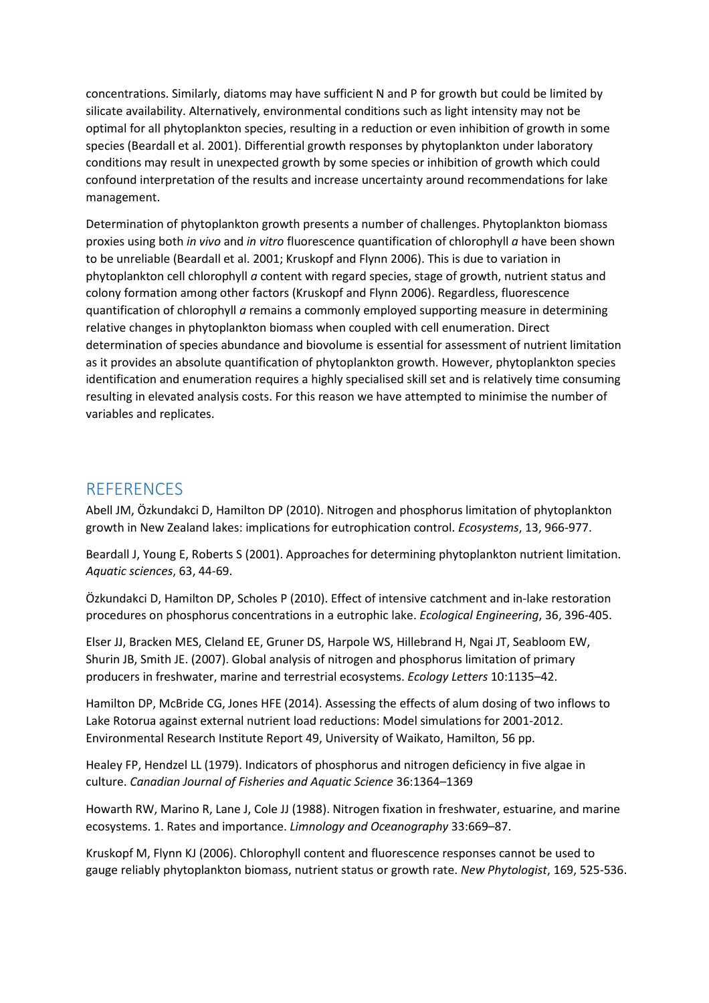concentrations. Similarly, diatoms may have sufficient N and P for growth but could be limited by silicate availability. Alternatively, environmental conditions such as light intensity may not be optimal for all phytoplankton species, resulting in a reduction or even inhibition of growth in some species (Beardall et al. 2001). Differential growth responses by phytoplankton under laboratory conditions may result in unexpected growth by some species or inhibition of growth which could confound interpretation of the results and increase uncertainty around recommendations for lake management.

Determination of phytoplankton growth presents a number of challenges. Phytoplankton biomass proxies using both *in vivo* and *in vitro* fluorescence quantification of chlorophyll *a* have been shown to be unreliable (Beardall et al. 2001; Kruskopf and Flynn 2006). This is due to variation in phytoplankton cell chlorophyll *a* content with regard species, stage of growth, nutrient status and colony formation among other factors (Kruskopf and Flynn 2006). Regardless, fluorescence quantification of chlorophyll *a* remains a commonly employed supporting measure in determining relative changes in phytoplankton biomass when coupled with cell enumeration. Direct determination of species abundance and biovolume is essential for assessment of nutrient limitation as it provides an absolute quantification of phytoplankton growth. However, phytoplankton species identification and enumeration requires a highly specialised skill set and is relatively time consuming resulting in elevated analysis costs. For this reason we have attempted to minimise the number of variables and replicates.

## **REFERENCES**

Abell JM, Özkundakci D, Hamilton DP (2010). Nitrogen and phosphorus limitation of phytoplankton growth in New Zealand lakes: implications for eutrophication control. *Ecosystems*, 13, 966-977.

Beardall J, Young E, Roberts S (2001). Approaches for determining phytoplankton nutrient limitation. *Aquatic sciences*, 63, 44-69.

Özkundakci D, Hamilton DP, Scholes P (2010). Effect of intensive catchment and in-lake restoration procedures on phosphorus concentrations in a eutrophic lake. *Ecological Engineering*, 36, 396-405.

Elser JJ, Bracken MES, Cleland EE, Gruner DS, Harpole WS, Hillebrand H, Ngai JT, Seabloom EW, Shurin JB, Smith JE. (2007). Global analysis of nitrogen and phosphorus limitation of primary producers in freshwater, marine and terrestrial ecosystems. *Ecology Letters* 10:1135–42.

Hamilton DP, McBride CG, Jones HFE (2014). Assessing the effects of alum dosing of two inflows to Lake Rotorua against external nutrient load reductions: Model simulations for 2001-2012. Environmental Research Institute Report 49, University of Waikato, Hamilton, 56 pp.

Healey FP, Hendzel LL (1979). Indicators of phosphorus and nitrogen deficiency in five algae in culture. *Canadian Journal of Fisheries and Aquatic Science* 36:1364–1369

Howarth RW, Marino R, Lane J, Cole JJ (1988). Nitrogen fixation in freshwater, estuarine, and marine ecosystems. 1. Rates and importance. *Limnology and Oceanography* 33:669–87.

Kruskopf M, Flynn KJ (2006). Chlorophyll content and fluorescence responses cannot be used to gauge reliably phytoplankton biomass, nutrient status or growth rate. *New Phytologist*, 169, 525-536.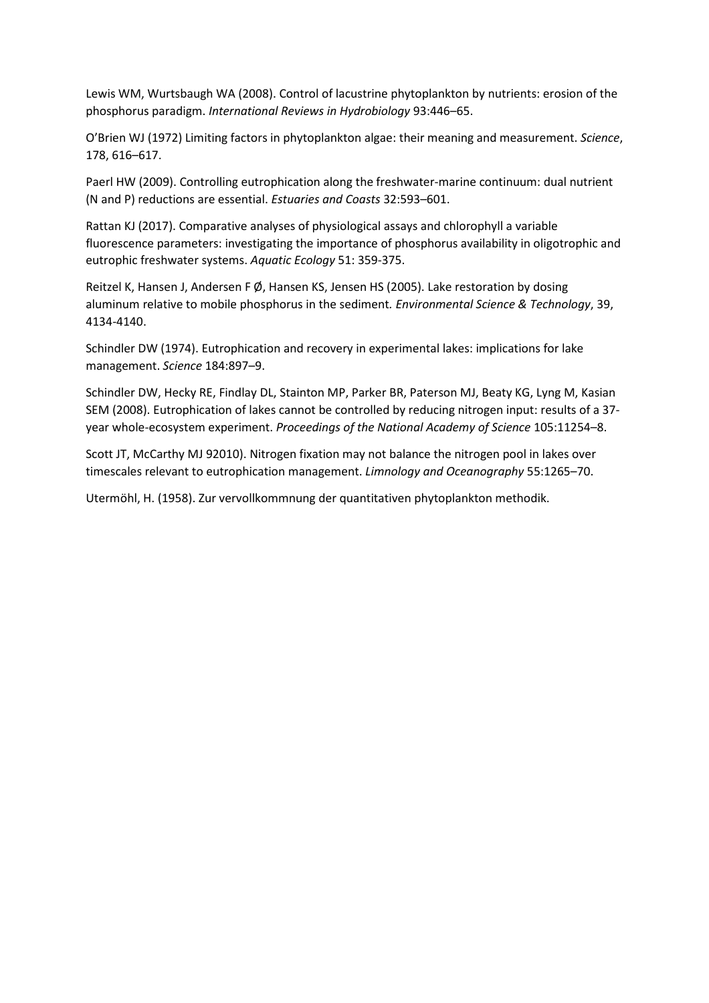Lewis WM, Wurtsbaugh WA (2008). Control of lacustrine phytoplankton by nutrients: erosion of the phosphorus paradigm. *International Reviews in Hydrobiology* 93:446–65.

O'Brien WJ (1972) Limiting factors in phytoplankton algae: their meaning and measurement. *Science*, 178, 616–617.

Paerl HW (2009). Controlling eutrophication along the freshwater-marine continuum: dual nutrient (N and P) reductions are essential. *Estuaries and Coasts* 32:593–601.

Rattan KJ (2017). Comparative analyses of physiological assays and chlorophyll a variable fluorescence parameters: investigating the importance of phosphorus availability in oligotrophic and eutrophic freshwater systems. *Aquatic Ecology* 51: 359-375.

Reitzel K, Hansen J, Andersen F Ø, Hansen KS, Jensen HS (2005). Lake restoration by dosing aluminum relative to mobile phosphorus in the sediment*. Environmental Science & Technology*, 39, 4134-4140.

Schindler DW (1974). Eutrophication and recovery in experimental lakes: implications for lake management. *Science* 184:897–9.

Schindler DW, Hecky RE, Findlay DL, Stainton MP, Parker BR, Paterson MJ, Beaty KG, Lyng M, Kasian SEM (2008). Eutrophication of lakes cannot be controlled by reducing nitrogen input: results of a 37 year whole-ecosystem experiment. *Proceedings of the National Academy of Science* 105:11254–8.

Scott JT, McCarthy MJ 92010). Nitrogen fixation may not balance the nitrogen pool in lakes over timescales relevant to eutrophication management. *Limnology and Oceanography* 55:1265–70.

Utermöhl, H. (1958). Zur vervollkommnung der quantitativen phytoplankton methodik.